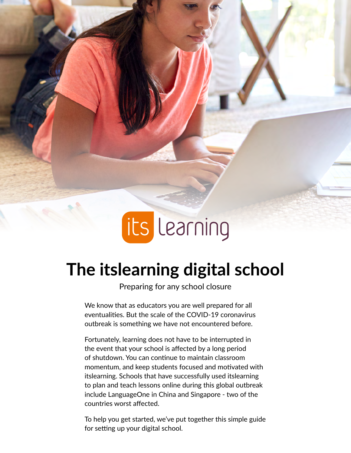

### **The itslearning digital school**

Preparing for any school closure

We know that as educators you are well prepared for all eventualities. But the scale of the COVID-19 coronavirus outbreak is something we have not encountered before.

Fortunately, learning does not have to be interrupted in the event that your school is affected by a long period of shutdown. You can continue to maintain classroom momentum, and keep students focused and motivated with itslearning. Schools that have successfully used itslearning to plan and teach lessons online during this global outbreak include LanguageOne in China and Singapore - two of the countries worst affected.

To help you get started, we've put together this simple guide for setting up your digital school.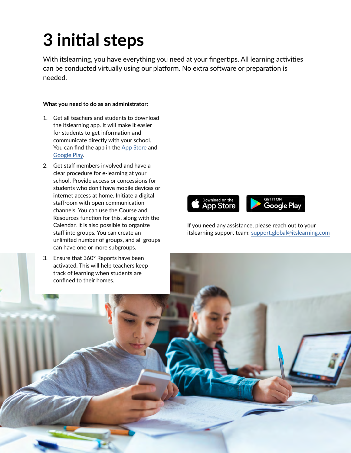# **3 initial steps**

With itslearning, you have everything you need at your fingertips. All learning activities can be conducted virtually using our platform. No extra software or preparation is needed.

#### **What you need to do as an administrator:**

- 1. Get all teachers and students to download the itslearning app. It will make it easier for students to get information and communicate directly with your school. You can find the app in the [App Store](https://itunes.apple.com/app/id951619066) and [Google Play](https://play.google.com/store/apps/details?id=com.itslearning.itslearningintapp).
- 2. Get staff members involved and have a clear procedure for e-learning at your school. Provide access or concessions for students who don't have mobile devices or internet access at home. Initiate a digital staffroom with open communication channels. You can use the Course and Resources function for this, along with the Calendar. It is also possible to organize staff into groups. You can create an unlimited number of groups, and all groups can have one or more subgroups.
- 3. Ensure that 360° Reports have been activated. This will help teachers keep track of learning when students are confined to their homes.



If you need any assistance, please reach out to your itslearning support team: [support.global@itslearning.com](mailto:support.global%40itslearning.com?subject=)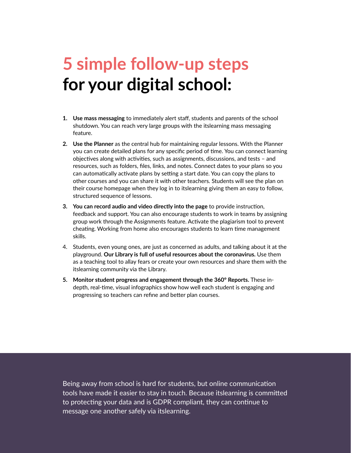## **5 simple follow-up steps for your digital school:**

- **1. Use mass messaging** to immediately alert staff, students and parents of the school shutdown. You can reach very large groups with the itslearning mass messaging feature.
- **2. Use the Planner** as the central hub for maintaining regular lessons. With the Planner you can create detailed plans for any specific period of time. You can connect learning objectives along with activities, such as assignments, discussions, and tests – and resources, such as folders, files, links, and notes. Connect dates to your plans so you can automatically activate plans by setting a start date. You can copy the plans to other courses and you can share it with other teachers. Students will see the plan on their course homepage when they log in to itslearning giving them an easy to follow, structured sequence of lessons.
- **3. You can record audio and video directly into the page** to provide instruction, feedback and support. You can also encourage students to work in teams by assigning group work through the Assignments feature. Activate the plagiarism tool to prevent cheating. Working from home also encourages students to learn time management skills.
- 4. Students, even young ones, are just as concerned as adults, and talking about it at the playground. **Our Library is full of useful resources about the coronavirus.** Use them as a teaching tool to allay fears or create your own resources and share them with the itslearning community via the Library.
- **5. Monitor student progress and engagement through the 360° Reports.** These indepth, real-time, visual infographics show how well each student is engaging and progressing so teachers can refine and better plan courses.

Being away from school is hard for students, but online communication tools have made it easier to stay in touch. Because itslearning is committed to protecting your data and is GDPR compliant, they can continue to message one another safely via itslearning.